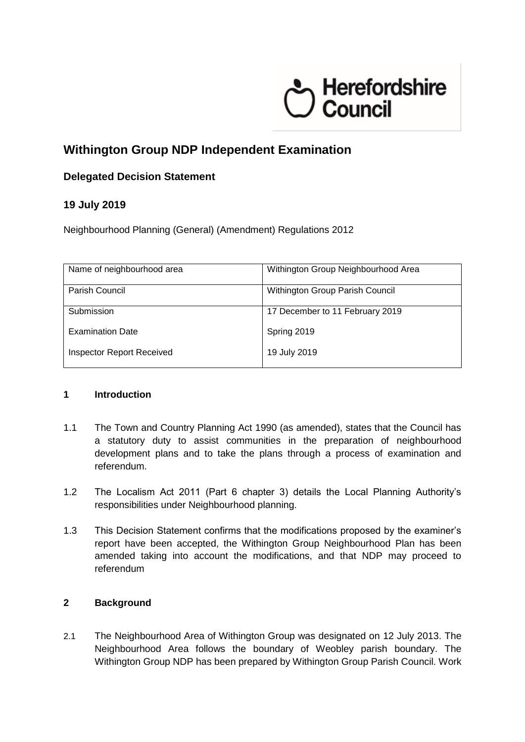# terefordshire<br>Council

# **Withington Group NDP Independent Examination**

## **Delegated Decision Statement**

### **19 July 2019**

Neighbourhood Planning (General) (Amendment) Regulations 2012

| Name of neighbourhood area       | Withington Group Neighbourhood Area |
|----------------------------------|-------------------------------------|
| Parish Council                   | Withington Group Parish Council     |
| Submission                       | 17 December to 11 February 2019     |
| <b>Examination Date</b>          | Spring 2019                         |
| <b>Inspector Report Received</b> | 19 July 2019                        |

#### **1 Introduction**

- 1.1 The Town and Country Planning Act 1990 (as amended), states that the Council has a statutory duty to assist communities in the preparation of neighbourhood development plans and to take the plans through a process of examination and referendum.
- 1.2 The Localism Act 2011 (Part 6 chapter 3) details the Local Planning Authority's responsibilities under Neighbourhood planning.
- 1.3 This Decision Statement confirms that the modifications proposed by the examiner's report have been accepted, the Withington Group Neighbourhood Plan has been amended taking into account the modifications, and that NDP may proceed to referendum

#### **2 Background**

2.1 The Neighbourhood Area of Withington Group was designated on 12 July 2013. The Neighbourhood Area follows the boundary of Weobley parish boundary. The Withington Group NDP has been prepared by Withington Group Parish Council. Work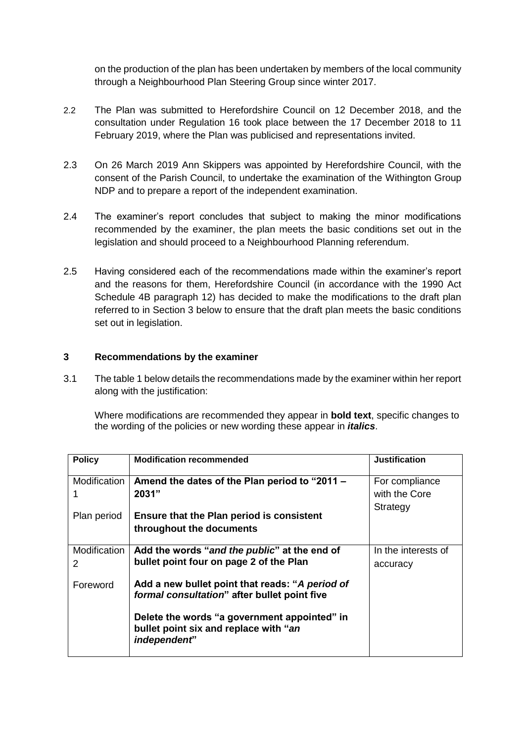on the production of the plan has been undertaken by members of the local community through a Neighbourhood Plan Steering Group since winter 2017.

- 2.2 The Plan was submitted to Herefordshire Council on 12 December 2018, and the consultation under Regulation 16 took place between the 17 December 2018 to 11 February 2019, where the Plan was publicised and representations invited.
- 2.3 On 26 March 2019 Ann Skippers was appointed by Herefordshire Council, with the consent of the Parish Council, to undertake the examination of the Withington Group NDP and to prepare a report of the independent examination.
- 2.4 The examiner's report concludes that subject to making the minor modifications recommended by the examiner, the plan meets the basic conditions set out in the legislation and should proceed to a Neighbourhood Planning referendum.
- 2.5 Having considered each of the recommendations made within the examiner's report and the reasons for them, Herefordshire Council (in accordance with the 1990 Act Schedule 4B paragraph 12) has decided to make the modifications to the draft plan referred to in Section 3 below to ensure that the draft plan meets the basic conditions set out in legislation.

#### **3 Recommendations by the examiner**

3.1 The table 1 below details the recommendations made by the examiner within her report along with the justification:

Where modifications are recommended they appear in **bold text**, specific changes to the wording of the policies or new wording these appear in *italics*.

| <b>Policy</b>     | <b>Modification recommended</b>                                                                       | <b>Justification</b>                        |
|-------------------|-------------------------------------------------------------------------------------------------------|---------------------------------------------|
| Modification      | Amend the dates of the Plan period to "2011 -<br>2031"                                                | For compliance<br>with the Core<br>Strategy |
| Plan period       | Ensure that the Plan period is consistent<br>throughout the documents                                 |                                             |
| Modification<br>2 | Add the words "and the public" at the end of<br>bullet point four on page 2 of the Plan               | In the interests of<br>accuracy             |
| Foreword          | Add a new bullet point that reads: "A period of<br>formal consultation" after bullet point five       |                                             |
|                   | Delete the words "a government appointed" in<br>bullet point six and replace with "an<br>independent" |                                             |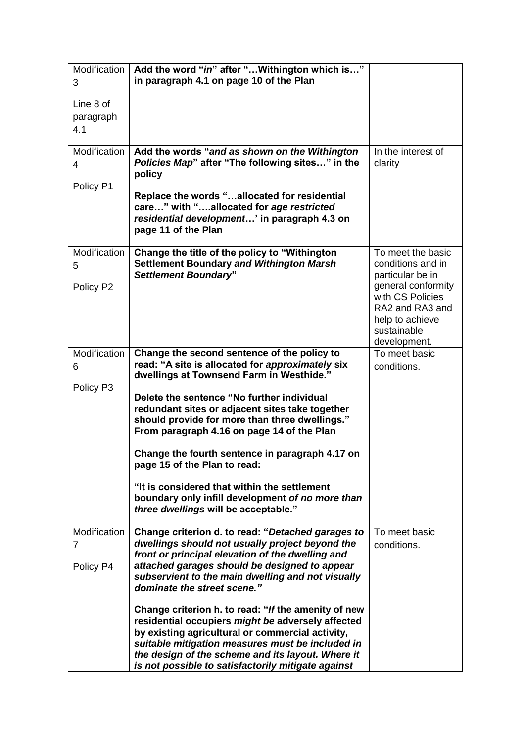| Modification<br>3              | Add the word "in" after " Withington which is"<br>in paragraph 4.1 on page 10 of the Plan                                                                                                                                                                                                                                                                                                       |                                                                                                                                                                           |
|--------------------------------|-------------------------------------------------------------------------------------------------------------------------------------------------------------------------------------------------------------------------------------------------------------------------------------------------------------------------------------------------------------------------------------------------|---------------------------------------------------------------------------------------------------------------------------------------------------------------------------|
| Line 8 of<br>paragraph<br>4.1  |                                                                                                                                                                                                                                                                                                                                                                                                 |                                                                                                                                                                           |
| Modification<br>4              | Add the words "and as shown on the Withington<br>Policies Map" after "The following sites" in the<br>policy                                                                                                                                                                                                                                                                                     | In the interest of<br>clarity                                                                                                                                             |
| Policy P1                      | Replace the words "allocated for residential<br>care" with "allocated for age restricted<br>residential development' in paragraph 4.3 on<br>page 11 of the Plan                                                                                                                                                                                                                                 |                                                                                                                                                                           |
| Modification<br>5<br>Policy P2 | Change the title of the policy to "Withington<br><b>Settlement Boundary and Withington Marsh</b><br><b>Settlement Boundary"</b>                                                                                                                                                                                                                                                                 | To meet the basic<br>conditions and in<br>particular be in<br>general conformity<br>with CS Policies<br>RA2 and RA3 and<br>help to achieve<br>sustainable<br>development. |
| Modification<br>6<br>Policy P3 | Change the second sentence of the policy to<br>read: "A site is allocated for approximately six<br>dwellings at Townsend Farm in Westhide."<br>Delete the sentence "No further individual<br>redundant sites or adjacent sites take together<br>should provide for more than three dwellings."<br>From paragraph 4.16 on page 14 of the Plan<br>Change the fourth sentence in paragraph 4.17 on | To meet basic<br>conditions.                                                                                                                                              |
|                                | page 15 of the Plan to read:<br>"It is considered that within the settlement<br>boundary only infill development of no more than<br>three dwellings will be acceptable."                                                                                                                                                                                                                        |                                                                                                                                                                           |
| Modification<br>7<br>Policy P4 | Change criterion d. to read: "Detached garages to<br>dwellings should not usually project beyond the<br>front or principal elevation of the dwelling and<br>attached garages should be designed to appear<br>subservient to the main dwelling and not visually<br>dominate the street scene."                                                                                                   | To meet basic<br>conditions.                                                                                                                                              |
|                                | Change criterion h. to read: "If the amenity of new<br>residential occupiers might be adversely affected<br>by existing agricultural or commercial activity,<br>suitable mitigation measures must be included in<br>the design of the scheme and its layout. Where it<br>is not possible to satisfactorily mitigate against                                                                     |                                                                                                                                                                           |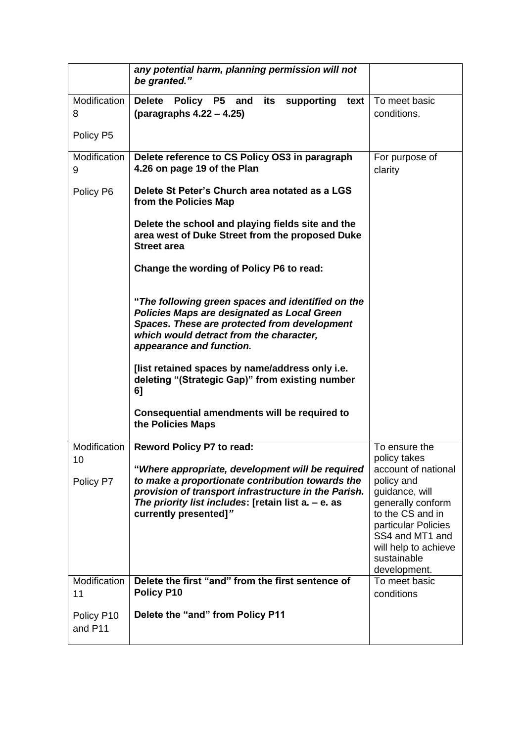|                       | any potential harm, planning permission will not<br>be granted."                                                                                                                                                                             |                                                                                                                                                                                                               |
|-----------------------|----------------------------------------------------------------------------------------------------------------------------------------------------------------------------------------------------------------------------------------------|---------------------------------------------------------------------------------------------------------------------------------------------------------------------------------------------------------------|
| Modification<br>8     | Delete Policy P5 and<br>its supporting<br>text<br>(paragraphs 4.22 – 4.25)                                                                                                                                                                   | To meet basic<br>conditions.                                                                                                                                                                                  |
| Policy P5             |                                                                                                                                                                                                                                              |                                                                                                                                                                                                               |
| Modification<br>9     | Delete reference to CS Policy OS3 in paragraph<br>4.26 on page 19 of the Plan                                                                                                                                                                | For purpose of<br>clarity                                                                                                                                                                                     |
| Policy P6             | Delete St Peter's Church area notated as a LGS<br>from the Policies Map                                                                                                                                                                      |                                                                                                                                                                                                               |
|                       | Delete the school and playing fields site and the<br>area west of Duke Street from the proposed Duke<br><b>Street area</b>                                                                                                                   |                                                                                                                                                                                                               |
|                       | Change the wording of Policy P6 to read:                                                                                                                                                                                                     |                                                                                                                                                                                                               |
|                       | "The following green spaces and identified on the<br><b>Policies Maps are designated as Local Green</b><br>Spaces. These are protected from development<br>which would detract from the character,<br>appearance and function.               |                                                                                                                                                                                                               |
|                       | [list retained spaces by name/address only i.e.<br>deleting "(Strategic Gap)" from existing number<br>6]                                                                                                                                     |                                                                                                                                                                                                               |
|                       | Consequential amendments will be required to<br>the Policies Maps                                                                                                                                                                            |                                                                                                                                                                                                               |
| Modification          | <b>Reword Policy P7 to read:</b>                                                                                                                                                                                                             | To ensure the                                                                                                                                                                                                 |
| 10<br>Policy P7       | "Where appropriate, development will be required<br>to make a proportionate contribution towards the<br>provision of transport infrastructure in the Parish.<br>The priority list includes: [retain list a. - e. as<br>currently presented]" | policy takes<br>account of national<br>policy and<br>guidance, will<br>generally conform<br>to the CS and in<br>particular Policies<br>SS4 and MT1 and<br>will help to achieve<br>sustainable<br>development. |
| Modification<br>11    | Delete the first "and" from the first sentence of<br>Policy P10                                                                                                                                                                              | To meet basic<br>conditions                                                                                                                                                                                   |
| Policy P10<br>and P11 | Delete the "and" from Policy P11                                                                                                                                                                                                             |                                                                                                                                                                                                               |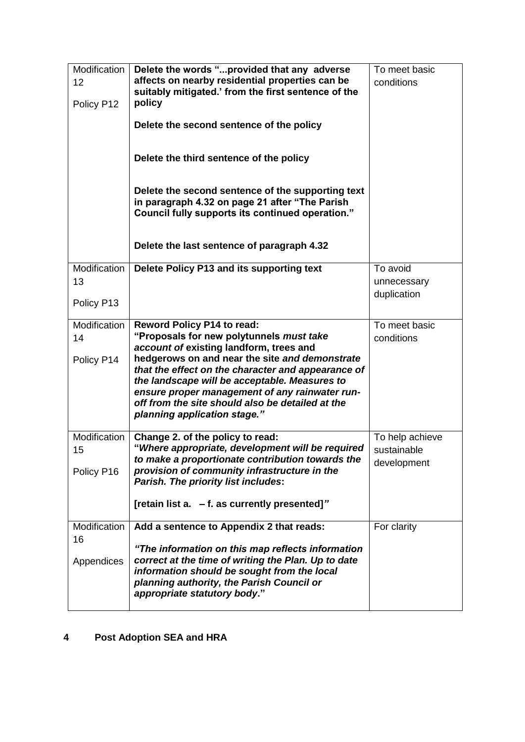| Modification<br>12<br>Policy P12 | Delete the words "provided that any adverse<br>affects on nearby residential properties can be<br>suitably mitigated.' from the first sentence of the<br>policy<br>Delete the second sentence of the policy<br>Delete the third sentence of the policy<br>Delete the second sentence of the supporting text<br>in paragraph 4.32 on page 21 after "The Parish<br>Council fully supports its continued operation."       | To meet basic<br>conditions                   |
|----------------------------------|-------------------------------------------------------------------------------------------------------------------------------------------------------------------------------------------------------------------------------------------------------------------------------------------------------------------------------------------------------------------------------------------------------------------------|-----------------------------------------------|
|                                  | Delete the last sentence of paragraph 4.32                                                                                                                                                                                                                                                                                                                                                                              |                                               |
| Modification<br>13<br>Policy P13 | Delete Policy P13 and its supporting text                                                                                                                                                                                                                                                                                                                                                                               | To avoid<br>unnecessary<br>duplication        |
| Modification<br>14<br>Policy P14 | <b>Reword Policy P14 to read:</b><br>"Proposals for new polytunnels must take<br>account of existing landform, trees and<br>hedgerows on and near the site and demonstrate<br>that the effect on the character and appearance of<br>the landscape will be acceptable. Measures to<br>ensure proper management of any rainwater run-<br>off from the site should also be detailed at the<br>planning application stage." | To meet basic<br>conditions                   |
| Modification<br>15<br>Policy P16 | Change 2. of the policy to read:<br>"Where appropriate, development will be required<br>to make a proportionate contribution towards the<br>provision of community infrastructure in the<br>Parish. The priority list includes:<br>[retain list a. - f. as currently presented]"                                                                                                                                        | To help achieve<br>sustainable<br>development |
| Modification<br>16<br>Appendices | Add a sentence to Appendix 2 that reads:<br>"The information on this map reflects information<br>correct at the time of writing the Plan. Up to date<br>information should be sought from the local<br>planning authority, the Parish Council or<br>appropriate statutory body."                                                                                                                                        | For clarity                                   |

## **4 Post Adoption SEA and HRA**